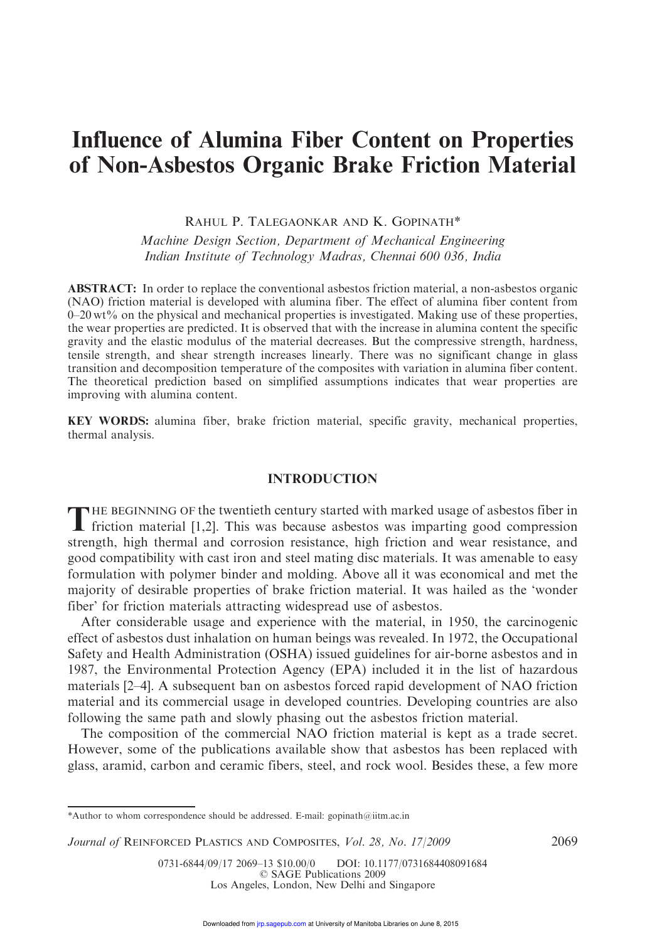# Influence of Alumina Fiber Content on Properties of Non-Asbestos Organic Brake Friction Material

RAHUL P. TALEGAONKAR AND K. GOPINATH\*

Machine Design Section, Department of Mechanical Engineering Indian Institute of Technology Madras, Chennai 600 036, India

ABSTRACT: In order to replace the conventional asbestos friction material, a non-asbestos organic (NAO) friction material is developed with alumina fiber. The effect of alumina fiber content from 0–20 wt% on the physical and mechanical properties is investigated. Making use of these properties, the wear properties are predicted. It is observed that with the increase in alumina content the specific gravity and the elastic modulus of the material decreases. But the compressive strength, hardness, tensile strength, and shear strength increases linearly. There was no significant change in glass transition and decomposition temperature of the composites with variation in alumina fiber content. The theoretical prediction based on simplified assumptions indicates that wear properties are improving with alumina content.

KEY WORDS: alumina fiber, brake friction material, specific gravity, mechanical properties, thermal analysis.

## INTRODUCTION

THE BEGINNING OF the twentieth century started with marked usage of asbestos fiber in friction material [1,2]. This was because asbestos was imparting good compression friction material [1,2]. This was because asbestos was imparting good compression strength, high thermal and corrosion resistance, high friction and wear resistance, and good compatibility with cast iron and steel mating disc materials. It was amenable to easy formulation with polymer binder and molding. Above all it was economical and met the majority of desirable properties of brake friction material. It was hailed as the 'wonder fiber' for friction materials attracting widespread use of asbestos.

After considerable usage and experience with the material, in 1950, the carcinogenic effect of asbestos dust inhalation on human beings was revealed. In 1972, the Occupational Safety and Health Administration (OSHA) issued guidelines for air-borne asbestos and in 1987, the Environmental Protection Agency (EPA) included it in the list of hazardous materials [2–4]. A subsequent ban on asbestos forced rapid development of NAO friction material and its commercial usage in developed countries. Developing countries are also following the same path and slowly phasing out the asbestos friction material.

The composition of the commercial NAO friction material is kept as a trade secret. However, some of the publications available show that asbestos has been replaced with glass, aramid, carbon and ceramic fibers, steel, and rock wool. Besides these, a few more

<sup>\*</sup>Author to whom correspondence should be addressed. E-mail: gopinath@iitm.ac.in

Journal of REINFORCED PLASTICS AND COMPOSITES, Vol. 28, No. 17/2009 2069

<sup>0731-6844/09/17 2069-13 \$10.00/0</sup> DOI: 10.1177/0731684408091684 © SAGE Publications 2009 Los Angeles, London, New Delhi and Singapore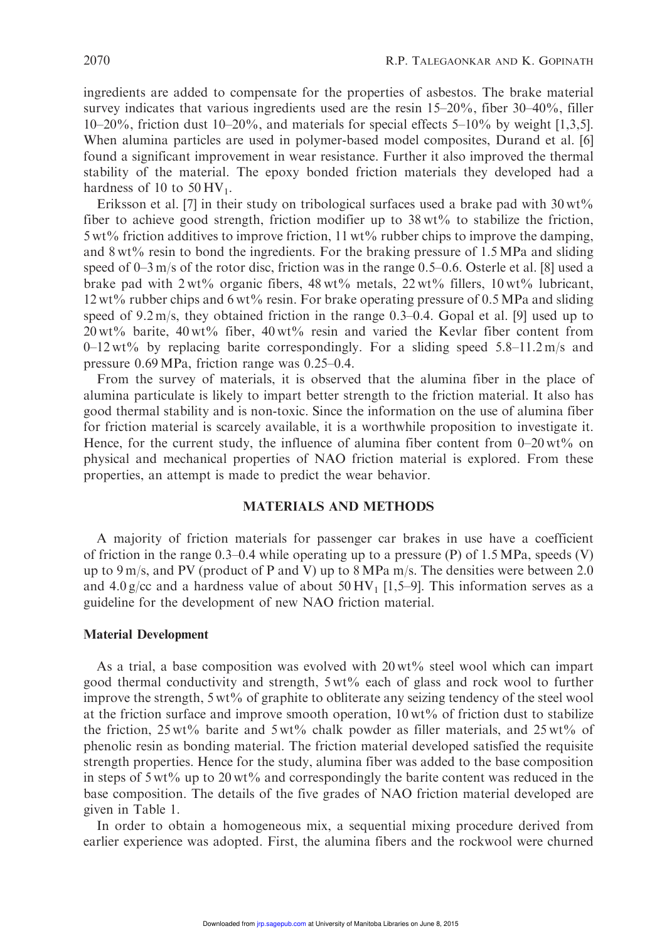ingredients are added to compensate for the properties of asbestos. The brake material survey indicates that various ingredients used are the resin 15–20%, fiber 30–40%, filler 10–20%, friction dust 10–20%, and materials for special effects 5–10% by weight [1,3,5]. When alumina particles are used in polymer-based model composites, Durand et al. [6] found a significant improvement in wear resistance. Further it also improved the thermal stability of the material. The epoxy bonded friction materials they developed had a hardness of 10 to  $50 \text{HV}_1$ .

Eriksson et al. [7] in their study on tribological surfaces used a brake pad with  $30 \,\text{wt}\%$ fiber to achieve good strength, friction modifier up to  $38 \text{ wt\%}$  to stabilize the friction,  $5 \text{ wt\%}$  friction additives to improve friction,  $11 \text{ wt\%}$  rubber chips to improve the damping, and  $8 \text{ wt\%}$  resin to bond the ingredients. For the braking pressure of 1.5 MPa and sliding speed of 0–3 m/s of the rotor disc, friction was in the range 0.5–0.6. Osterle et al. [8] used a brake pad with  $2wt\%$  organic fibers,  $48 wt\%$  metals,  $22 wt\%$  fillers,  $10 wt\%$  lubricant, 12 wt% rubber chips and 6 wt% resin. For brake operating pressure of 0.5MPa and sliding speed of 9.2 m/s, they obtained friction in the range 0.3–0.4. Gopal et al. [9] used up to  $20 \text{ wt\%}$  barite,  $40 \text{ wt\%}$  fiber,  $40 \text{ wt\%}$  resin and varied the Kevlar fiber content from  $0-12$  wt% by replacing barite correspondingly. For a sliding speed 5.8–11.2 m/s and pressure 0.69MPa, friction range was 0.25–0.4.

From the survey of materials, it is observed that the alumina fiber in the place of alumina particulate is likely to impart better strength to the friction material. It also has good thermal stability and is non-toxic. Since the information on the use of alumina fiber for friction material is scarcely available, it is a worthwhile proposition to investigate it. Hence, for the current study, the influence of alumina fiber content from  $0-20$  wt% on physical and mechanical properties of NAO friction material is explored. From these properties, an attempt is made to predict the wear behavior.

## MATERIALS AND METHODS

A majority of friction materials for passenger car brakes in use have a coefficient of friction in the range  $0.3-0.4$  while operating up to a pressure (P) of 1.5 MPa, speeds (V) up to 9 m/s, and PV (product of P and V) up to 8 MPa m/s. The densities were between 2.0 and 4.0 g/cc and a hardness value of about  $50 \text{ HV}_1$  [1,5–9]. This information serves as a guideline for the development of new NAO friction material.

## Material Development

As a trial, a base composition was evolved with 20 wt% steel wool which can impart good thermal conductivity and strength, 5 wt% each of glass and rock wool to further improve the strength,  $5 wt\%$  of graphite to obliterate any seizing tendency of the steel wool at the friction surface and improve smooth operation,  $10 \,\text{wt}$ % of friction dust to stabilize the friction,  $25 \text{ wt}$ % barite and  $5 \text{ wt}$ % chalk powder as filler materials, and  $25 \text{ wt}$ % of phenolic resin as bonding material. The friction material developed satisfied the requisite strength properties. Hence for the study, alumina fiber was added to the base composition in steps of  $5 \text{ wt\%}$  up to 20 wt% and correspondingly the barite content was reduced in the base composition. The details of the five grades of NAO friction material developed are given in Table 1.

In order to obtain a homogeneous mix, a sequential mixing procedure derived from earlier experience was adopted. First, the alumina fibers and the rockwool were churned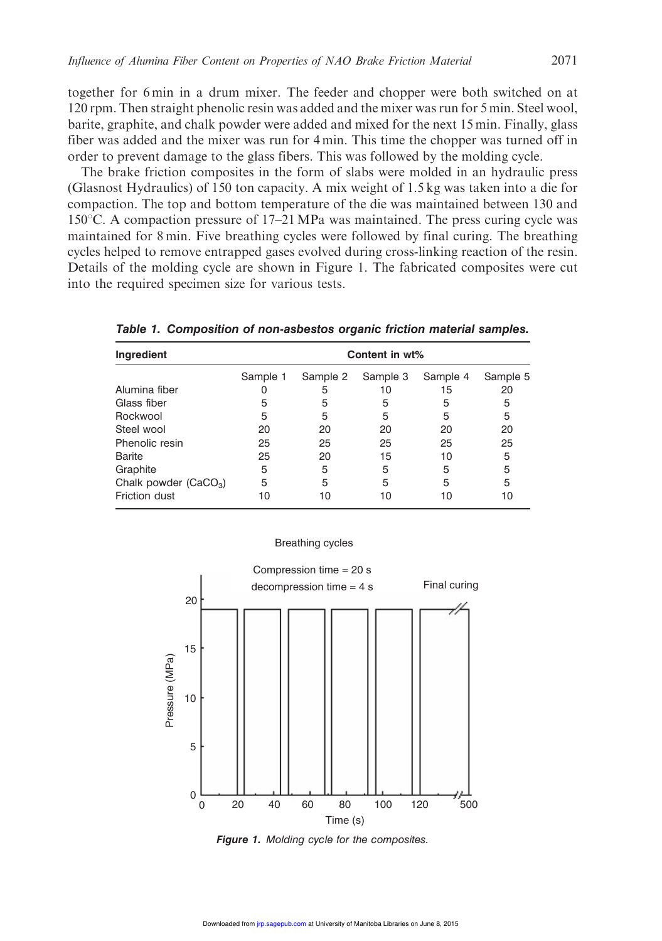together for 6 min in a drum mixer. The feeder and chopper were both switched on at 120 rpm. Then straight phenolic resin was added and the mixer was run for 5 min. Steel wool, barite, graphite, and chalk powder were added and mixed for the next 15 min. Finally, glass fiber was added and the mixer was run for 4 min. This time the chopper was turned off in order to prevent damage to the glass fibers. This was followed by the molding cycle.

The brake friction composites in the form of slabs were molded in an hydraulic press (Glasnost Hydraulics) of 150 ton capacity. A mix weight of 1.5 kg was taken into a die for compaction. The top and bottom temperature of the die was maintained between 130 and  $150^{\circ}$ C. A compaction pressure of 17–21 MPa was maintained. The press curing cycle was maintained for 8 min. Five breathing cycles were followed by final curing. The breathing cycles helped to remove entrapped gases evolved during cross-linking reaction of the resin. Details of the molding cycle are shown in Figure 1. The fabricated composites were cut into the required specimen size for various tests.

| Ingredient             | Content in wt% |          |          |          |          |  |  |
|------------------------|----------------|----------|----------|----------|----------|--|--|
|                        | Sample 1       | Sample 2 | Sample 3 | Sample 4 | Sample 5 |  |  |
| Alumina fiber          |                | 5        | 10       | 15       | 20       |  |  |
| Glass fiber            | 5              | 5        | 5        | 5        | 5        |  |  |
| Rockwool               | 5              | 5        | 5        | 5        | 5        |  |  |
| Steel wool             | 20             | 20       | 20       | 20       | 20       |  |  |
| Phenolic resin         | 25             | 25       | 25       | 25       | 25       |  |  |
| Barite                 | 25             | 20       | 15       | 10       | 5        |  |  |
| Graphite               | 5              | 5        | 5        | 5        | 5        |  |  |
| Chalk powder $(CaCO3)$ | 5              | 5        | 5        | 5        | 5        |  |  |
| Friction dust          | 10             | 10       | 10       | 10       | 10       |  |  |

Table 1. Composition of non-asbestos organic friction material samples.



Breathing cycles

Figure 1. Molding cycle for the composites.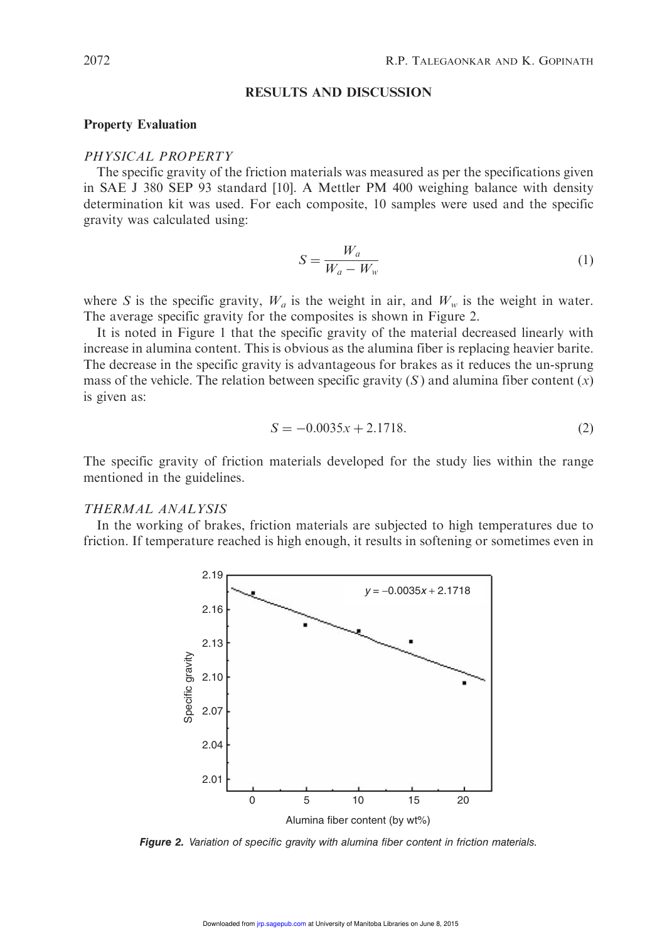#### RESULTS AND DISCUSSION

#### Property Evaluation

#### PHYSICAL PROPERTY

The specific gravity of the friction materials was measured as per the specifications given in SAE J 380 SEP 93 standard [10]. A Mettler PM 400 weighing balance with density determination kit was used. For each composite, 10 samples were used and the specific gravity was calculated using:

$$
S = \frac{W_a}{W_a - W_w} \tag{1}
$$

where S is the specific gravity,  $W_a$  is the weight in air, and  $W_w$  is the weight in water. The average specific gravity for the composites is shown in Figure 2.

It is noted in Figure 1 that the specific gravity of the material decreased linearly with increase in alumina content. This is obvious as the alumina fiber is replacing heavier barite. The decrease in the specific gravity is advantageous for brakes as it reduces the un-sprung mass of the vehicle. The relation between specific gravity  $(S)$  and alumina fiber content  $(x)$ is given as:

$$
S = -0.0035x + 2.1718.\t(2)
$$

The specific gravity of friction materials developed for the study lies within the range mentioned in the guidelines.

# THERMAL ANALYSIS

In the working of brakes, friction materials are subjected to high temperatures due to friction. If temperature reached is high enough, it results in softening or sometimes even in



Figure 2. Variation of specific gravity with alumina fiber content in friction materials.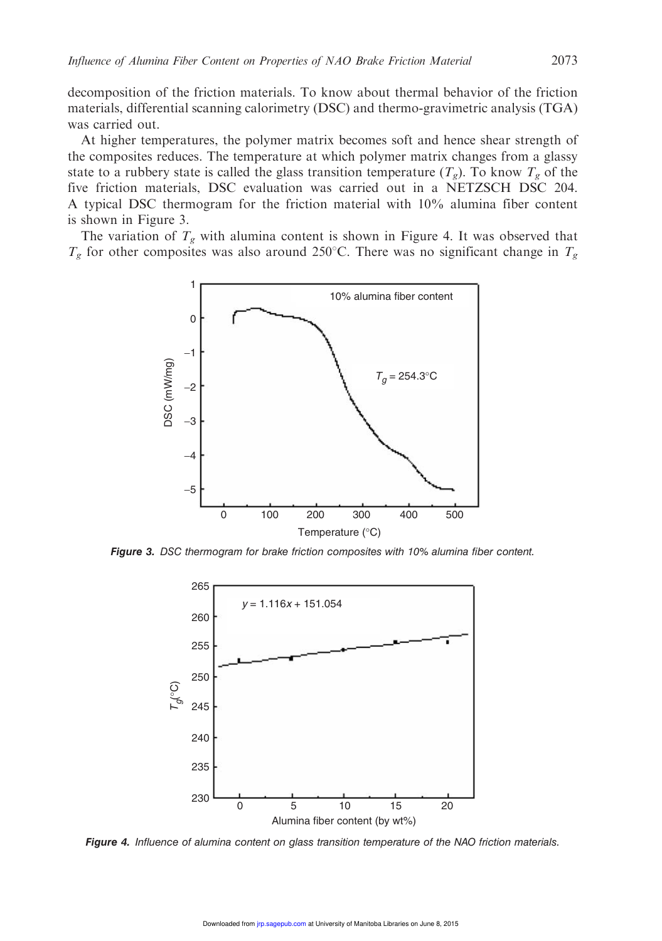decomposition of the friction materials. To know about thermal behavior of the friction materials, differential scanning calorimetry (DSC) and thermo-gravimetric analysis (TGA) was carried out.

At higher temperatures, the polymer matrix becomes soft and hence shear strength of the composites reduces. The temperature at which polymer matrix changes from a glassy state to a rubbery state is called the glass transition temperature  $(T_g)$ . To know  $T_g$  of the five friction materials, DSC evaluation was carried out in a NETZSCH DSC 204. A typical DSC thermogram for the friction material with 10% alumina fiber content is shown in Figure 3.

The variation of  $T_g$  with alumina content is shown in Figure 4. It was observed that  $T_g$  for other composites was also around 250°C. There was no significant change in  $T_g$ 



Figure 3. DSC thermogram for brake friction composites with 10% alumina fiber content.



Figure 4. Influence of alumina content on glass transition temperature of the NAO friction materials.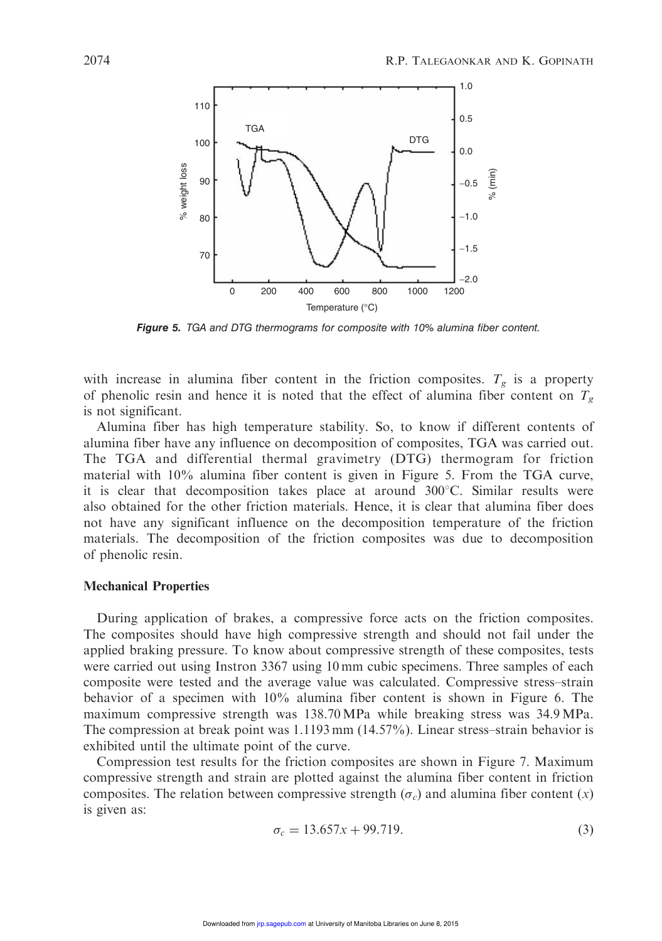

Figure 5. TGA and DTG thermograms for composite with 10% alumina fiber content.

with increase in alumina fiber content in the friction composites.  $T_g$  is a property of phenolic resin and hence it is noted that the effect of alumina fiber content on  $T_g$ is not significant.

Alumina fiber has high temperature stability. So, to know if different contents of alumina fiber have any influence on decomposition of composites, TGA was carried out. The TGA and differential thermal gravimetry (DTG) thermogram for friction material with 10% alumina fiber content is given in Figure 5. From the TGA curve, it is clear that decomposition takes place at around  $300^{\circ}$ C. Similar results were also obtained for the other friction materials. Hence, it is clear that alumina fiber does not have any significant influence on the decomposition temperature of the friction materials. The decomposition of the friction composites was due to decomposition of phenolic resin.

## Mechanical Properties

During application of brakes, a compressive force acts on the friction composites. The composites should have high compressive strength and should not fail under the applied braking pressure. To know about compressive strength of these composites, tests were carried out using Instron 3367 using 10 mm cubic specimens. Three samples of each composite were tested and the average value was calculated. Compressive stress–strain behavior of a specimen with 10% alumina fiber content is shown in Figure 6. The maximum compressive strength was 138.70 MPa while breaking stress was 34.9 MPa. The compression at break point was 1.1193 mm (14.57%). Linear stress–strain behavior is exhibited until the ultimate point of the curve.

Compression test results for the friction composites are shown in Figure 7. Maximum compressive strength and strain are plotted against the alumina fiber content in friction composites. The relation between compressive strength  $(\sigma_c)$  and alumina fiber content  $(x)$ is given as:

$$
\sigma_c = 13.657x + 99.719. \tag{3}
$$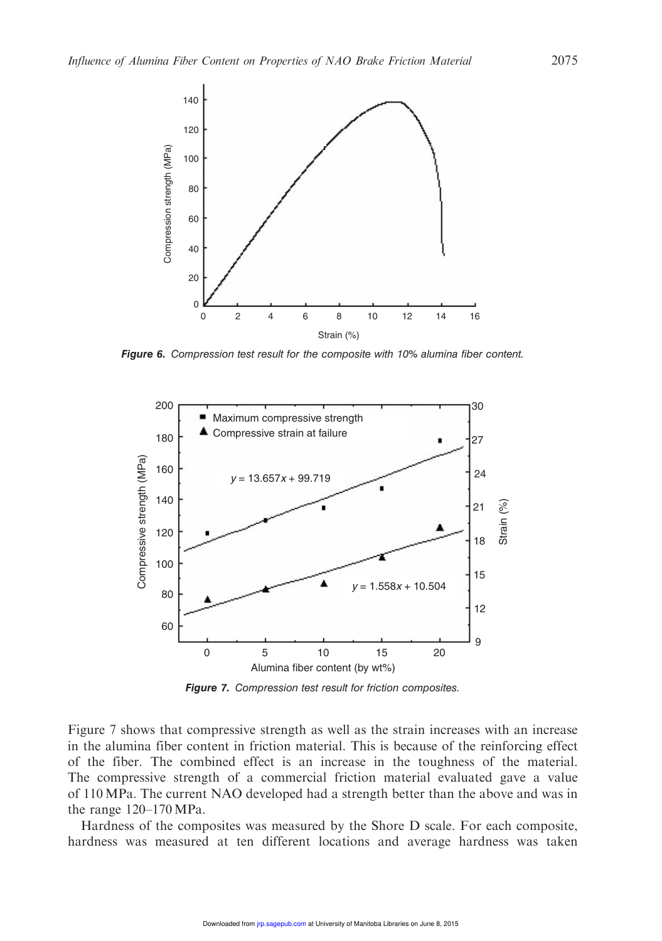

Figure 6. Compression test result for the composite with 10% alumina fiber content.



Figure 7. Compression test result for friction composites.

Figure 7 shows that compressive strength as well as the strain increases with an increase in the alumina fiber content in friction material. This is because of the reinforcing effect of the fiber. The combined effect is an increase in the toughness of the material. The compressive strength of a commercial friction material evaluated gave a value of 110 MPa. The current NAO developed had a strength better than the above and was in the range 120–170MPa.

Hardness of the composites was measured by the Shore D scale. For each composite, hardness was measured at ten different locations and average hardness was taken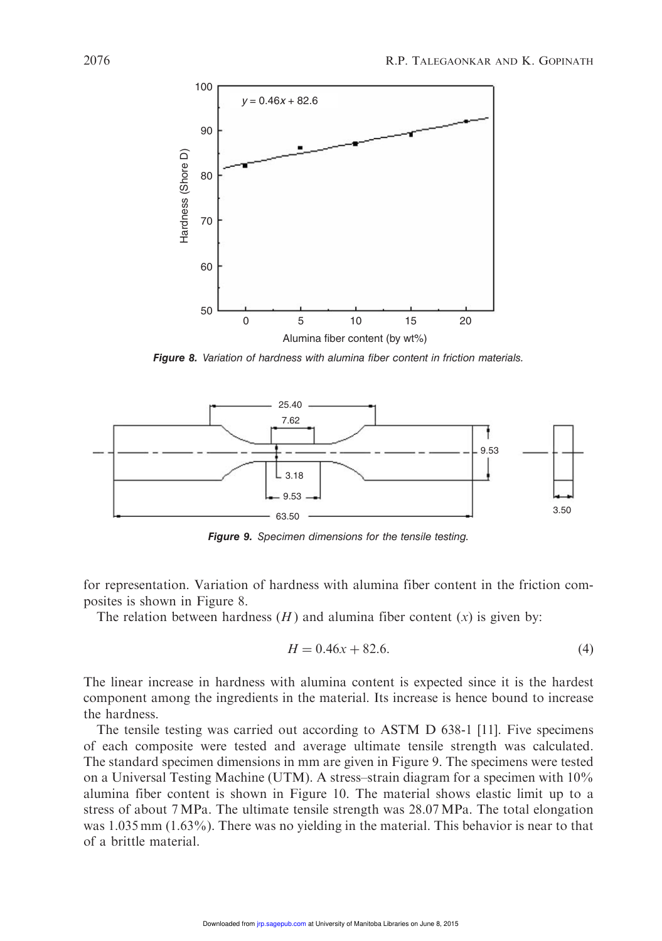

Figure 8. Variation of hardness with alumina fiber content in friction materials.



Figure 9. Specimen dimensions for the tensile testing.

for representation. Variation of hardness with alumina fiber content in the friction composites is shown in Figure 8.

The relation between hardness  $(H)$  and alumina fiber content  $(x)$  is given by:

$$
H = 0.46x + 82.6.\t(4)
$$

The linear increase in hardness with alumina content is expected since it is the hardest component among the ingredients in the material. Its increase is hence bound to increase the hardness.

The tensile testing was carried out according to ASTM D 638-1 [11]. Five specimens of each composite were tested and average ultimate tensile strength was calculated. The standard specimen dimensions in mm are given in Figure 9. The specimens were tested on a Universal Testing Machine (UTM). A stress–strain diagram for a specimen with 10% alumina fiber content is shown in Figure 10. The material shows elastic limit up to a stress of about 7 MPa. The ultimate tensile strength was 28.07 MPa. The total elongation was 1.035 mm (1.63%). There was no yielding in the material. This behavior is near to that of a brittle material.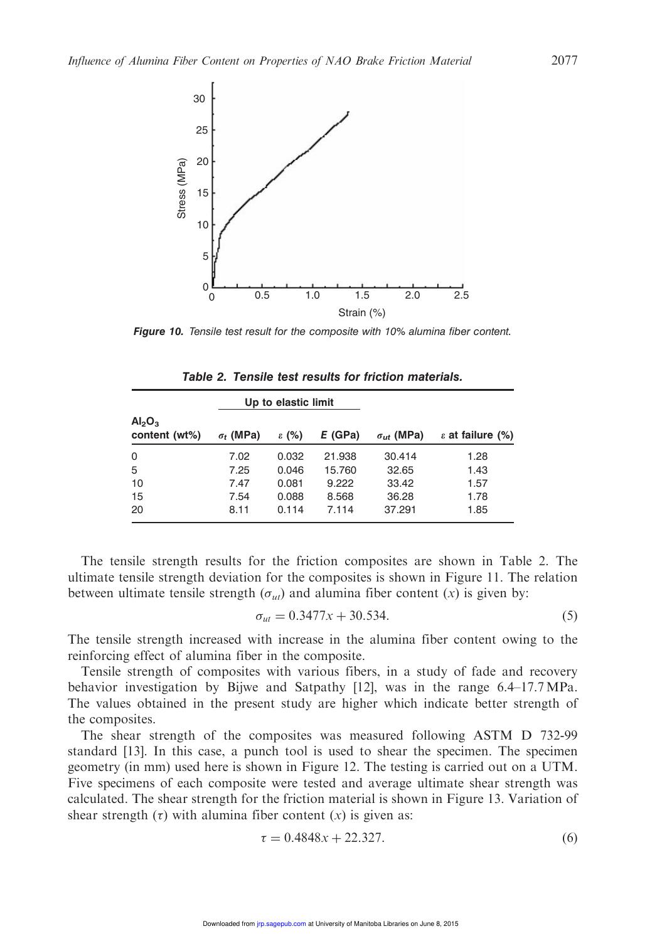

**Figure 10.** Tensile test result for the composite with 10% alumina fiber content.

|                                                 | Up to elastic limit |                   |         |                     |                           |
|-------------------------------------------------|---------------------|-------------------|---------|---------------------|---------------------------|
| Al <sub>2</sub> O <sub>3</sub><br>content (wt%) | $\sigma_t$ (MPa)    | $\varepsilon$ (%) | E (GPa) | $\sigma_{ut}$ (MPa) | $\epsilon$ at failure (%) |
| 0                                               | 7.02                | 0.032             | 21.938  | 30.414              | 1.28                      |
| 5                                               | 7.25                | 0.046             | 15.760  | 32.65               | 1.43                      |
| 10                                              | 7.47                | 0.081             | 9.222   | 33.42               | 1.57                      |
| 15                                              | 7.54                | 0.088             | 8.568   | 36.28               | 1.78                      |
| 20                                              | 8.11                | 0.114             | 7.114   | 37.291              | 1.85                      |

Table 2. Tensile test results for friction materials.

The tensile strength results for the friction composites are shown in Table 2. The ultimate tensile strength deviation for the composites is shown in Figure 11. The relation between ultimate tensile strength  $(\sigma_{ut})$  and alumina fiber content  $(x)$  is given by:

$$
\sigma_{ut} = 0.3477x + 30.534. \tag{5}
$$

The tensile strength increased with increase in the alumina fiber content owing to the reinforcing effect of alumina fiber in the composite.

Tensile strength of composites with various fibers, in a study of fade and recovery behavior investigation by Bijwe and Satpathy [12], was in the range 6.4–17.7MPa. The values obtained in the present study are higher which indicate better strength of the composites.

The shear strength of the composites was measured following ASTM D 732-99 standard [13]. In this case, a punch tool is used to shear the specimen. The specimen geometry (in mm) used here is shown in Figure 12. The testing is carried out on a UTM. Five specimens of each composite were tested and average ultimate shear strength was calculated. The shear strength for the friction material is shown in Figure 13. Variation of shear strength  $(\tau)$  with alumina fiber content  $(x)$  is given as:

$$
\tau = 0.4848x + 22.327.\t(6)
$$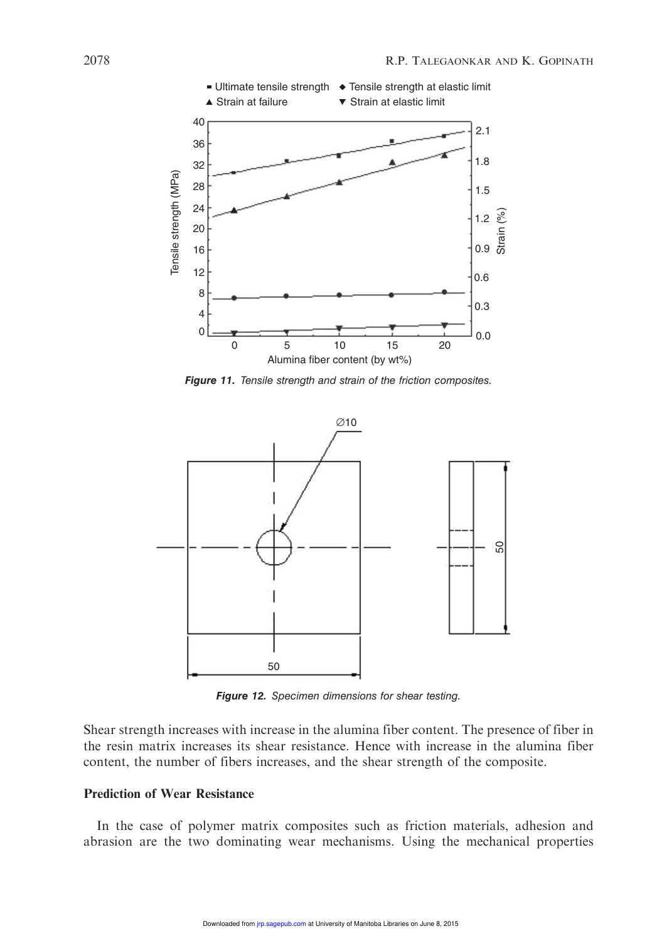

Figure 11. Tensile strength and strain of the friction composites.



Figure 12. Specimen dimensions for shear testing.

Shear strength increases with increase in the alumina fiber content. The presence of fiber in the resin matrix increases its shear resistance. Hence with increase in the alumina fiber content, the number of fibers increases, and the shear strength of the composite.

# Prediction of Wear Resistance

In the case of polymer matrix composites such as friction materials, adhesion and abrasion are the two dominating wear mechanisms. Using the mechanical properties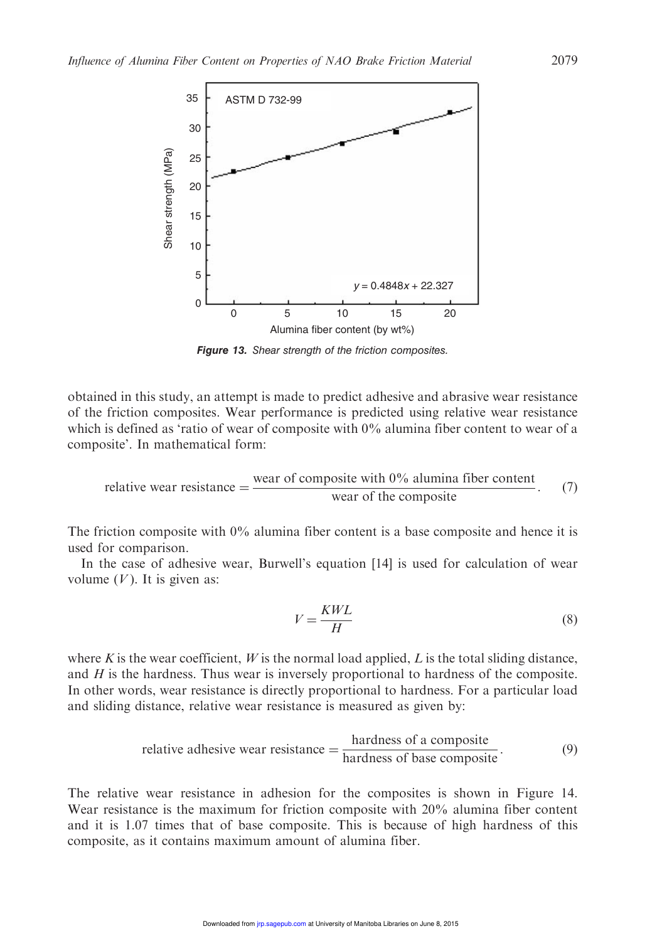

Figure 13. Shear strength of the friction composites.

obtained in this study, an attempt is made to predict adhesive and abrasive wear resistance of the friction composites. Wear performance is predicted using relative wear resistance which is defined as 'ratio of wear of composite with  $0\%$  alumina fiber content to wear of a composite'. In mathematical form:

relative wear resistance = 
$$
\frac{\text{ wear of composite with } 0\% \text{ aluminum fiber content}}{\text{ wear of the composite}}.
$$
 (7)

The friction composite with 0% alumina fiber content is a base composite and hence it is used for comparison.

In the case of adhesive wear, Burwell's equation [14] is used for calculation of wear volume  $(V)$ . It is given as:

$$
V = \frac{KWL}{H}
$$
 (8)

where K is the wear coefficient, W is the normal load applied, L is the total sliding distance, and  $H$  is the hardness. Thus wear is inversely proportional to hardness of the composite. In other words, wear resistance is directly proportional to hardness. For a particular load and sliding distance, relative wear resistance is measured as given by:

relative adhesive wear resistance = 
$$
\frac{\text{hardness of a composite}}{\text{hardness of base composite}}.
$$
 (9)

The relative wear resistance in adhesion for the composites is shown in Figure 14. Wear resistance is the maximum for friction composite with 20% alumina fiber content and it is 1.07 times that of base composite. This is because of high hardness of this composite, as it contains maximum amount of alumina fiber.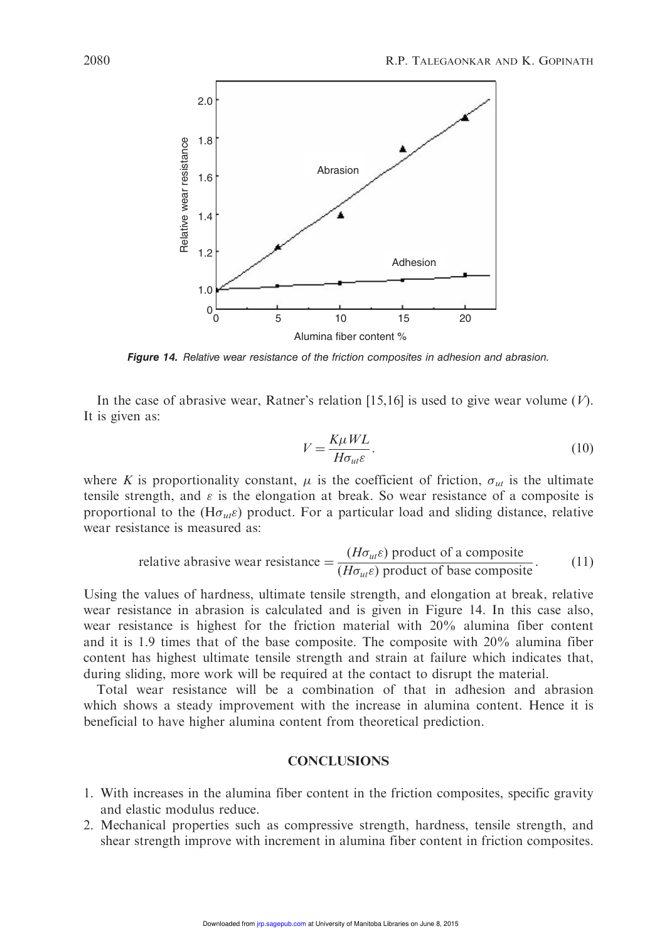

Figure 14. Relative wear resistance of the friction composites in adhesion and abrasion.

In the case of abrasive wear, Ratner's relation  $[15,16]$  is used to give wear volume  $(V)$ . It is given as:

$$
V = \frac{K\mu WL}{H\sigma_{ut}\varepsilon}.
$$
\n(10)

where K is proportionality constant,  $\mu$  is the coefficient of friction,  $\sigma_{ut}$  is the ultimate tensile strength, and  $\varepsilon$  is the elongation at break. So wear resistance of a composite is proportional to the (H $\sigma_{ut}$  $\varepsilon$ ) product. For a particular load and sliding distance, relative wear resistance is measured as:

relative abrasive wear resistance = 
$$
\frac{(H\sigma_{ut}\varepsilon) \text{ product of a composite}}{(H\sigma_{ut}\varepsilon) \text{ product of base composite}}.
$$
 (11)

Using the values of hardness, ultimate tensile strength, and elongation at break, relative wear resistance in abrasion is calculated and is given in Figure 14. In this case also, wear resistance is highest for the friction material with 20% alumina fiber content and it is 1.9 times that of the base composite. The composite with 20% alumina fiber content has highest ultimate tensile strength and strain at failure which indicates that, during sliding, more work will be required at the contact to disrupt the material.

Total wear resistance will be a combination of that in adhesion and abrasion which shows a steady improvement with the increase in alumina content. Hence it is beneficial to have higher alumina content from theoretical prediction.

## **CONCLUSIONS**

- 1. With increases in the alumina fiber content in the friction composites, specific gravity and elastic modulus reduce.
- 2. Mechanical properties such as compressive strength, hardness, tensile strength, and shear strength improve with increment in alumina fiber content in friction composites.